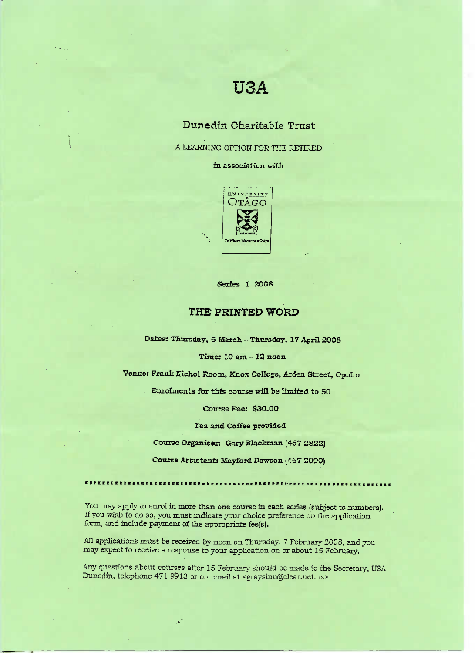# U3A

# **Dunedin** Charitable Trust

A LEARNING OPTION FOR THE RETIRED

**in association with**



**Series 1 2008**

## **THE PRINTED WORD**

**Dates: Thursday, 6 March - Thursday, 17 April 2008**

**Time: 10 am - 12 noon**

**Venue:** Frank **Kichol Room, Knox College, Arden Street, Opoho**

**Enrolments for this course will be limited to 50**

**Course Fee: \$30.00**

**Tea and Coffee provided**

**Course Organiser: Gary Blackman (467 2S22)**

**Course Assistant: Mayford Dawson (467 2090)**

. . . . . *.* . . . . . . *.* .

You may apply to enrol in more than one course in each series (subject to numbers). If you wish to do so, you must indicate your choice preference on the application form, and include payment of the appropriate fee(s).

All applications must be received *by* noon on Thursday, 7 February 2008, and you may expect to receive a response to your application on or about 15 February.

Any questions about courses after 15 February should be made to the Secretary, USA Dunedin, telephone 471 9913 or on email at <graysinn@clear.net.nz>

شي